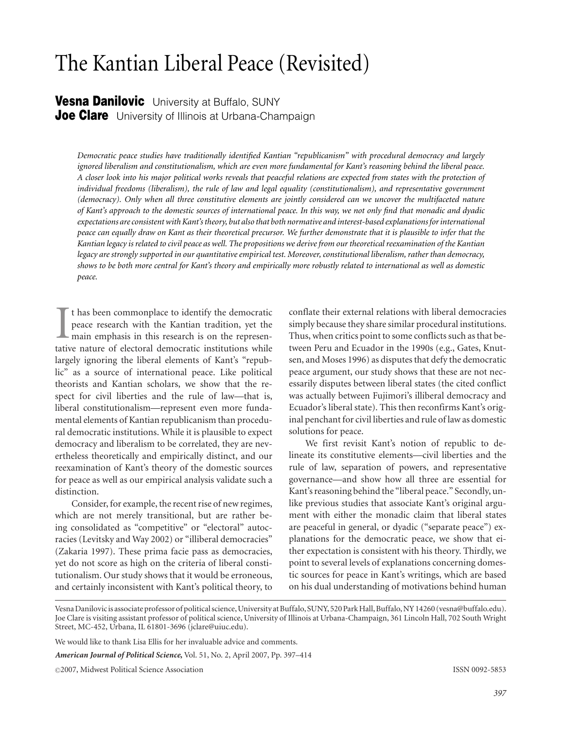# The Kantian Liberal Peace (Revisited)

**Vesna Danilovic** University at Buffalo, SUNY **Joe Clare** University of Illinois at Urbana-Champaign

*Democratic peace studies have traditionally identified Kantian "republicanism" with procedural democracy and largely ignored liberalism and constitutionalism, which are even more fundamental for Kant's reasoning behind the liberal peace. A closer look into his major political works reveals that peaceful relations are expected from states with the protection of individual freedoms (liberalism), the rule of law and legal equality (constitutionalism), and representative government (democracy). Only when all three constitutive elements are jointly considered can we uncover the multifaceted nature of Kant's approach to the domestic sources of international peace. In this way, we not only find that monadic and dyadic expectations are consistent with Kant'stheory, but alsothat both normative and interest-based explanations for international peace can equally draw on Kant as their theoretical precursor. We further demonstrate that it is plausible to infer that the Kantian legacy is related to civil peace as well. The propositions we derive from our theoretical reexamination of the Kantian legacy are strongly supported in our quantitative empirical test. Moreover, constitutional liberalism, rather than democracy, shows to be both more central for Kant's theory and empirically more robustly related to international as well as domestic peace.*

It has been commonplace to identify the democratic<br>peace research with the Kantian tradition, yet the<br>main emphasis in this research is on the represen-<br>tative nature of electoral democratic institutions while t has been commonplace to identify the democratic peace research with the Kantian tradition, yet the main emphasis in this research is on the represenlargely ignoring the liberal elements of Kant's "republic" as a source of international peace. Like political theorists and Kantian scholars, we show that the respect for civil liberties and the rule of law—that is, liberal constitutionalism—represent even more fundamental elements of Kantian republicanism than procedural democratic institutions. While it is plausible to expect democracy and liberalism to be correlated, they are nevertheless theoretically and empirically distinct, and our reexamination of Kant's theory of the domestic sources for peace as well as our empirical analysis validate such a distinction.

Consider, for example, the recent rise of new regimes, which are not merely transitional, but are rather being consolidated as "competitive" or "electoral" autocracies (Levitsky and Way 2002) or "illiberal democracies" (Zakaria 1997). These prima facie pass as democracies, yet do not score as high on the criteria of liberal constitutionalism. Our study shows that it would be erroneous, and certainly inconsistent with Kant's political theory, to

conflate their external relations with liberal democracies simply because they share similar procedural institutions. Thus, when critics point to some conflicts such as that between Peru and Ecuador in the 1990s (e.g., Gates, Knutsen, and Moses 1996) as disputes that defy the democratic peace argument, our study shows that these are not necessarily disputes between liberal states (the cited conflict was actually between Fujimori's illiberal democracy and Ecuador's liberal state). This then reconfirms Kant's original penchant for civil liberties and rule of law as domestic solutions for peace.

We first revisit Kant's notion of republic to delineate its constitutive elements—civil liberties and the rule of law, separation of powers, and representative governance—and show how all three are essential for Kant's reasoning behind the "liberal peace." Secondly, unlike previous studies that associate Kant's original argument with either the monadic claim that liberal states are peaceful in general, or dyadic ("separate peace") explanations for the democratic peace, we show that either expectation is consistent with his theory. Thirdly, we point to several levels of explanations concerning domestic sources for peace in Kant's writings, which are based on his dual understanding of motivations behind human

*American Journal of Political Science***,** Vol. 51, No. 2, April 2007, Pp. 397–414

-<sup>C</sup> 2007, Midwest Political Science Association ISSN 0092-5853

Vesna Danilovic is associate professor of political science, University at Buffalo, SUNY, 520 Park Hall, Buffalo, NY 14260 (vesna@buffalo.edu). Joe Clare is visiting assistant professor of political science, University of Illinois at Urbana-Champaign, 361 Lincoln Hall, 702 South Wright Street, MC-452, Urbana, IL 61801-3696 (jclare@uiuc.edu).

We would like to thank Lisa Ellis for her invaluable advice and comments.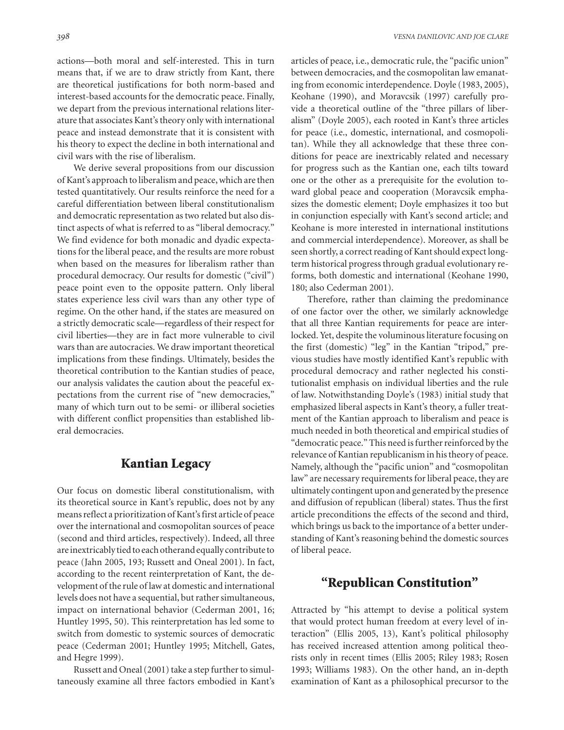actions—both moral and self-interested. This in turn means that, if we are to draw strictly from Kant, there are theoretical justifications for both norm-based and interest-based accounts for the democratic peace. Finally, we depart from the previous international relations literature that associates Kant's theory only with international peace and instead demonstrate that it is consistent with his theory to expect the decline in both international and civil wars with the rise of liberalism.

We derive several propositions from our discussion of Kant's approach to liberalism and peace, which are then tested quantitatively. Our results reinforce the need for a careful differentiation between liberal constitutionalism and democratic representation as two related but also distinct aspects of what is referred to as "liberal democracy." We find evidence for both monadic and dyadic expectations for the liberal peace, and the results are more robust when based on the measures for liberalism rather than procedural democracy. Our results for domestic ("civil") peace point even to the opposite pattern. Only liberal states experience less civil wars than any other type of regime. On the other hand, if the states are measured on a strictly democratic scale—regardless of their respect for civil liberties—they are in fact more vulnerable to civil wars than are autocracies. We draw important theoretical implications from these findings. Ultimately, besides the theoretical contribution to the Kantian studies of peace, our analysis validates the caution about the peaceful expectations from the current rise of "new democracies," many of which turn out to be semi- or illiberal societies with different conflict propensities than established liberal democracies.

## **Kantian Legacy**

Our focus on domestic liberal constitutionalism, with its theoretical source in Kant's republic, does not by any means reflect a prioritization of Kant'sfirst article of peace over the international and cosmopolitan sources of peace (second and third articles, respectively). Indeed, all three areinextricably tied to each otherand equally contribute to peace (Jahn 2005, 193; Russett and Oneal 2001). In fact, according to the recent reinterpretation of Kant, the development of the rule of law at domestic and international levels does not have a sequential, but rather simultaneous, impact on international behavior (Cederman 2001, 16; Huntley 1995, 50). This reinterpretation has led some to switch from domestic to systemic sources of democratic peace (Cederman 2001; Huntley 1995; Mitchell, Gates, and Hegre 1999).

Russett and Oneal (2001) take a step further to simultaneously examine all three factors embodied in Kant's articles of peace, i.e., democratic rule, the "pacific union" between democracies, and the cosmopolitan law emanating from economic interdependence. Doyle (1983, 2005), Keohane (1990), and Moravcsik (1997) carefully provide a theoretical outline of the "three pillars of liberalism" (Doyle 2005), each rooted in Kant's three articles for peace (i.e., domestic, international, and cosmopolitan). While they all acknowledge that these three conditions for peace are inextricably related and necessary for progress such as the Kantian one, each tilts toward one or the other as a prerequisite for the evolution toward global peace and cooperation (Moravcsik emphasizes the domestic element; Doyle emphasizes it too but in conjunction especially with Kant's second article; and Keohane is more interested in international institutions and commercial interdependence). Moreover, as shall be seen shortly, a correct reading of Kant should expect longterm historical progress through gradual evolutionary reforms, both domestic and international (Keohane 1990, 180; also Cederman 2001).

Therefore, rather than claiming the predominance of one factor over the other, we similarly acknowledge that all three Kantian requirements for peace are interlocked. Yet, despite the voluminous literature focusing on the first (domestic) "leg" in the Kantian "tripod," previous studies have mostly identified Kant's republic with procedural democracy and rather neglected his constitutionalist emphasis on individual liberties and the rule of law. Notwithstanding Doyle's (1983) initial study that emphasized liberal aspects in Kant's theory, a fuller treatment of the Kantian approach to liberalism and peace is much needed in both theoretical and empirical studies of "democratic peace." This need is further reinforced by the relevance of Kantian republicanism in his theory of peace. Namely, although the "pacific union" and "cosmopolitan law" are necessary requirements for liberal peace, they are ultimately contingent upon and generated by the presence and diffusion of republican (liberal) states. Thus the first article preconditions the effects of the second and third, which brings us back to the importance of a better understanding of Kant's reasoning behind the domestic sources of liberal peace.

# **"Republican Constitution"**

Attracted by "his attempt to devise a political system that would protect human freedom at every level of interaction" (Ellis 2005, 13), Kant's political philosophy has received increased attention among political theorists only in recent times (Ellis 2005; Riley 1983; Rosen 1993; Williams 1983). On the other hand, an in-depth examination of Kant as a philosophical precursor to the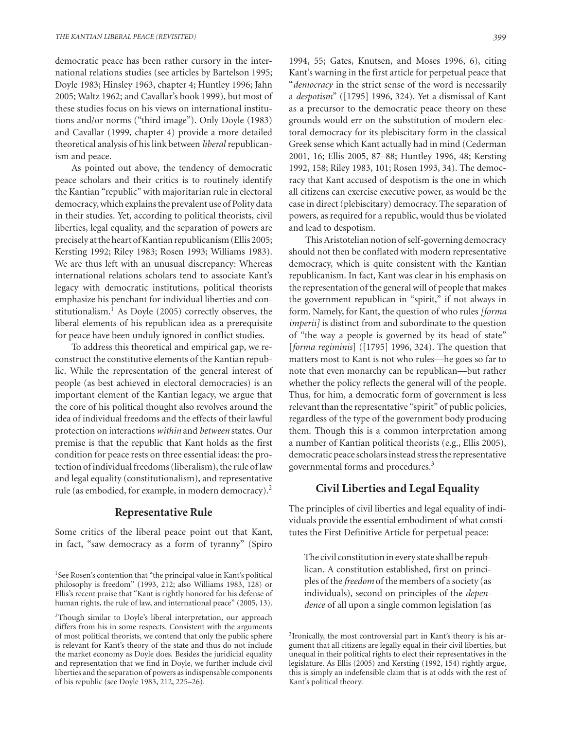democratic peace has been rather cursory in the international relations studies (see articles by Bartelson 1995; Doyle 1983; Hinsley 1963, chapter 4; Huntley 1996; Jahn 2005; Waltz 1962; and Cavallar's book 1999), but most of these studies focus on his views on international institutions and/or norms ("third image"). Only Doyle (1983) and Cavallar (1999, chapter 4) provide a more detailed theoretical analysis of his link between *liberal* republicanism and peace.

As pointed out above, the tendency of democratic peace scholars and their critics is to routinely identify the Kantian "republic" with majoritarian rule in electoral democracy, which explains the prevalent use of Polity data in their studies. Yet, according to political theorists, civil liberties, legal equality, and the separation of powers are precisely at the heart of Kantian republicanism (Ellis 2005; Kersting 1992; Riley 1983; Rosen 1993; Williams 1983). We are thus left with an unusual discrepancy: Whereas international relations scholars tend to associate Kant's legacy with democratic institutions, political theorists emphasize his penchant for individual liberties and constitutionalism.<sup>1</sup> As Doyle  $(2005)$  correctly observes, the liberal elements of his republican idea as a prerequisite for peace have been unduly ignored in conflict studies.

To address this theoretical and empirical gap, we reconstruct the constitutive elements of the Kantian republic. While the representation of the general interest of people (as best achieved in electoral democracies) is an important element of the Kantian legacy, we argue that the core of his political thought also revolves around the idea of individual freedoms and the effects of their lawful protection on interactions *within* and *between* states. Our premise is that the republic that Kant holds as the first condition for peace rests on three essential ideas: the protection of individual freedoms (liberalism), the rule of law and legal equality (constitutionalism), and representative rule (as embodied, for example, in modern democracy).<sup>2</sup>

#### **Representative Rule**

Some critics of the liberal peace point out that Kant, in fact, "saw democracy as a form of tyranny" (Spiro

1994, 55; Gates, Knutsen, and Moses 1996, 6), citing Kant's warning in the first article for perpetual peace that "*democracy* in the strict sense of the word is necessarily a *despotism*" ([1795] 1996, 324). Yet a dismissal of Kant as a precursor to the democratic peace theory on these grounds would err on the substitution of modern electoral democracy for its plebiscitary form in the classical Greek sense which Kant actually had in mind (Cederman 2001, 16; Ellis 2005, 87–88; Huntley 1996, 48; Kersting 1992, 158; Riley 1983, 101; Rosen 1993, 34). The democracy that Kant accused of despotism is the one in which all citizens can exercise executive power, as would be the case in direct (plebiscitary) democracy. The separation of powers, as required for a republic, would thus be violated and lead to despotism.

This Aristotelian notion of self-governing democracy should not then be conflated with modern representative democracy, which is quite consistent with the Kantian republicanism. In fact, Kant was clear in his emphasis on the representation of the general will of people that makes the government republican in "spirit," if not always in form. Namely, for Kant, the question of who rules *[forma imperii]* is distinct from and subordinate to the question of "the way a people is governed by its head of state" [*forma regiminis*] ([1795] 1996, 324). The question that matters most to Kant is not who rules—he goes so far to note that even monarchy can be republican—but rather whether the policy reflects the general will of the people. Thus, for him, a democratic form of government is less relevant than the representative "spirit" of public policies, regardless of the type of the government body producing them. Though this is a common interpretation among a number of Kantian political theorists (e.g., Ellis 2005), democratic peace scholarsinstead stress the representative governmental forms and procedures.<sup>3</sup>

## **Civil Liberties and Legal Equality**

The principles of civil liberties and legal equality of individuals provide the essential embodiment of what constitutes the First Definitive Article for perpetual peace:

The civil constitution in every state shall be republican. A constitution established, first on principles of the *freedom* of the members of a society (as individuals), second on principles of the *dependence* of all upon a single common legislation (as

<sup>&</sup>lt;sup>1</sup>See Rosen's contention that "the principal value in Kant's political philosophy is freedom" (1993, 212; also Williams 1983, 128) or Ellis's recent praise that "Kant is rightly honored for his defense of human rights, the rule of law, and international peace" (2005, 13).

<sup>2</sup>Though similar to Doyle's liberal interpretation, our approach differs from his in some respects. Consistent with the arguments of most political theorists, we contend that only the public sphere is relevant for Kant's theory of the state and thus do not include the market economy as Doyle does. Besides the juridicial equality and representation that we find in Doyle, we further include civil liberties and the separation of powers as indispensable components of his republic (see Doyle 1983, 212, 225–26).

<sup>&</sup>lt;sup>3</sup> Ironically, the most controversial part in Kant's theory is his argument that all citizens are legally equal in their civil liberties, but unequal in their political rights to elect their representatives in the legislature. As Ellis (2005) and Kersting (1992, 154) rightly argue, this is simply an indefensible claim that is at odds with the rest of Kant's political theory.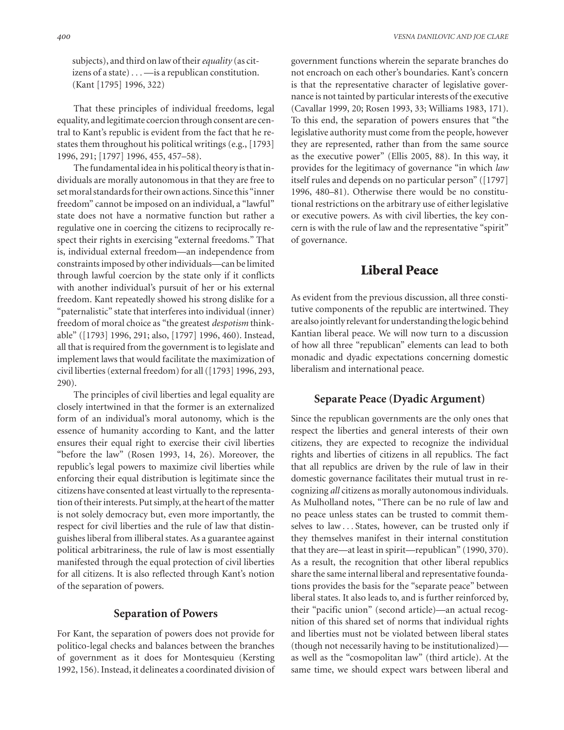subjects), and third on law of their*equality* (as citizens of a state)...—is a republican constitution. (Kant [1795] 1996, 322)

That these principles of individual freedoms, legal equality, and legitimate coercion through consent are central to Kant's republic is evident from the fact that he restates them throughout his political writings (e.g., [1793] 1996, 291; [1797] 1996, 455, 457–58).

The fundamental idea in his political theory is that individuals are morally autonomous in that they are free to set moral standards for their own actions. Since this "inner freedom" cannot be imposed on an individual, a "lawful" state does not have a normative function but rather a regulative one in coercing the citizens to reciprocally respect their rights in exercising "external freedoms." That is, individual external freedom—an independence from constraints imposed by other individuals—can be limited through lawful coercion by the state only if it conflicts with another individual's pursuit of her or his external freedom. Kant repeatedly showed his strong dislike for a "paternalistic" state that interferes into individual (inner) freedom of moral choice as "the greatest *despotism* thinkable" ([1793] 1996, 291; also, [1797] 1996, 460). Instead, all that is required from the government is to legislate and implement laws that would facilitate the maximization of civil liberties (external freedom) for all ([1793] 1996, 293, 290).

The principles of civil liberties and legal equality are closely intertwined in that the former is an externalized form of an individual's moral autonomy, which is the essence of humanity according to Kant, and the latter ensures their equal right to exercise their civil liberties "before the law" (Rosen 1993, 14, 26). Moreover, the republic's legal powers to maximize civil liberties while enforcing their equal distribution is legitimate since the citizens have consented at least virtually to the representation of their interests. Put simply, at the heart of the matter is not solely democracy but, even more importantly, the respect for civil liberties and the rule of law that distinguishes liberal from illiberal states. As a guarantee against political arbitrariness, the rule of law is most essentially manifested through the equal protection of civil liberties for all citizens. It is also reflected through Kant's notion of the separation of powers.

## **Separation of Powers**

For Kant, the separation of powers does not provide for politico-legal checks and balances between the branches of government as it does for Montesquieu (Kersting 1992, 156). Instead, it delineates a coordinated division of government functions wherein the separate branches do not encroach on each other's boundaries. Kant's concern is that the representative character of legislative governance is not tainted by particular interests of the executive (Cavallar 1999, 20; Rosen 1993, 33; Williams 1983, 171). To this end, the separation of powers ensures that "the legislative authority must come from the people, however they are represented, rather than from the same source as the executive power" (Ellis 2005, 88). In this way, it provides for the legitimacy of governance "in which *law* itself rules and depends on no particular person" ([1797] 1996, 480–81). Otherwise there would be no constitutional restrictions on the arbitrary use of either legislative or executive powers. As with civil liberties, the key concern is with the rule of law and the representative "spirit" of governance.

# **Liberal Peace**

As evident from the previous discussion, all three constitutive components of the republic are intertwined. They are alsojointly relevantfor understanding thelogic behind Kantian liberal peace. We will now turn to a discussion of how all three "republican" elements can lead to both monadic and dyadic expectations concerning domestic liberalism and international peace.

#### **Separate Peace (Dyadic Argument)**

Since the republican governments are the only ones that respect the liberties and general interests of their own citizens, they are expected to recognize the individual rights and liberties of citizens in all republics. The fact that all republics are driven by the rule of law in their domestic governance facilitates their mutual trust in recognizing *all* citizens as morally autonomous individuals. As Mulholland notes, "There can be no rule of law and no peace unless states can be trusted to commit themselves to law... States, however, can be trusted only if they themselves manifest in their internal constitution that they are—at least in spirit—republican" (1990, 370). As a result, the recognition that other liberal republics share the same internal liberal and representative foundations provides the basis for the "separate peace" between liberal states. It also leads to, and is further reinforced by, their "pacific union" (second article)—an actual recognition of this shared set of norms that individual rights and liberties must not be violated between liberal states (though not necessarily having to be institutionalized) as well as the "cosmopolitan law" (third article). At the same time, we should expect wars between liberal and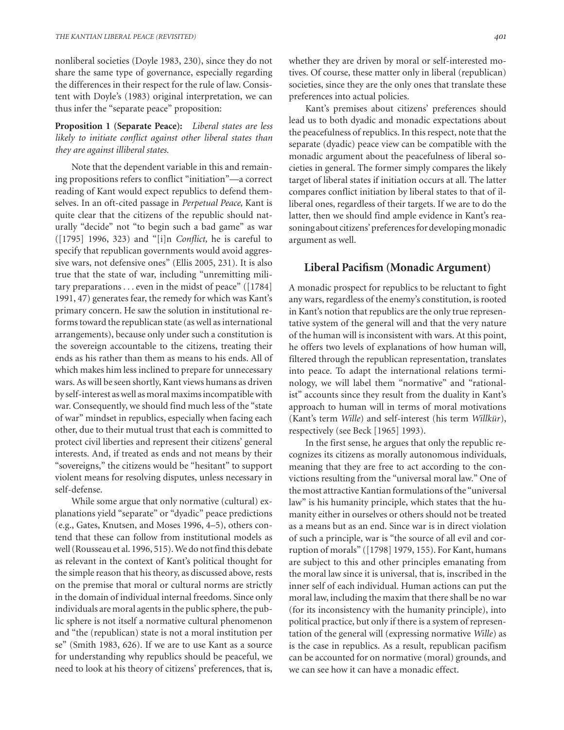nonliberal societies (Doyle 1983, 230), since they do not share the same type of governance, especially regarding the differences in their respect for the rule of law. Consistent with Doyle's (1983) original interpretation, we can thus infer the "separate peace" proposition:

## **Proposition 1 (Separate Peace):** *Liberal states are less likely to initiate conflict against other liberal states than they are against illiberal states.*

Note that the dependent variable in this and remaining propositions refers to conflict "initiation"—a correct reading of Kant would expect republics to defend themselves. In an oft-cited passage in *Perpetual Peace,* Kant is quite clear that the citizens of the republic should naturally "decide" not "to begin such a bad game" as war ([1795] 1996, 323) and "[i]n *Conflict,* he is careful to specify that republican governments would avoid aggressive wars, not defensive ones" (Ellis 2005, 231). It is also true that the state of war, including "unremitting military preparations... even in the midst of peace" ([1784] 1991, 47) generates fear, the remedy for which was Kant's primary concern. He saw the solution in institutional reforms toward the republican state (as well as international arrangements), because only under such a constitution is the sovereign accountable to the citizens, treating their ends as his rather than them as means to his ends. All of which makes him less inclined to prepare for unnecessary wars. As will be seen shortly, Kant views humans as driven by self-interest as well as moral maxims incompatible with war. Consequently, we should find much less of the "state of war" mindset in republics, especially when facing each other, due to their mutual trust that each is committed to protect civil liberties and represent their citizens' general interests. And, if treated as ends and not means by their "sovereigns," the citizens would be "hesitant" to support violent means for resolving disputes, unless necessary in self-defense.

While some argue that only normative (cultural) explanations yield "separate" or "dyadic" peace predictions (e.g., Gates, Knutsen, and Moses 1996, 4–5), others contend that these can follow from institutional models as well (Rousseau et al. 1996, 515). We do not find this debate as relevant in the context of Kant's political thought for the simple reason that his theory, as discussed above, rests on the premise that moral or cultural norms are strictly in the domain of individual internal freedoms. Since only individuals are moral agents in the public sphere, the public sphere is not itself a normative cultural phenomenon and "the (republican) state is not a moral institution per se" (Smith 1983, 626). If we are to use Kant as a source for understanding why republics should be peaceful, we need to look at his theory of citizens' preferences, that is,

whether they are driven by moral or self-interested motives. Of course, these matter only in liberal (republican) societies, since they are the only ones that translate these preferences into actual policies.

Kant's premises about citizens' preferences should lead us to both dyadic and monadic expectations about the peacefulness of republics. In this respect, note that the separate (dyadic) peace view can be compatible with the monadic argument about the peacefulness of liberal societies in general. The former simply compares the likely target of liberal states if initiation occurs at all. The latter compares conflict initiation by liberal states to that of illiberal ones, regardless of their targets. If we are to do the latter, then we should find ample evidence in Kant's reasoning about citizens' preferences for developing monadic argument as well.

#### **Liberal Pacifism (Monadic Argument)**

A monadic prospect for republics to be reluctant to fight any wars, regardless of the enemy's constitution, is rooted in Kant's notion that republics are the only true representative system of the general will and that the very nature of the human will is inconsistent with wars. At this point, he offers two levels of explanations of how human will, filtered through the republican representation, translates into peace. To adapt the international relations terminology, we will label them "normative" and "rationalist" accounts since they result from the duality in Kant's approach to human will in terms of moral motivations (Kant's term *Wille*) and self-interest (his term *Willkür*), respectively (see Beck [1965] 1993).

In the first sense, he argues that only the republic recognizes its citizens as morally autonomous individuals, meaning that they are free to act according to the convictions resulting from the "universal moral law." One of the most attractive Kantian formulations of the "universal law" is his humanity principle, which states that the humanity either in ourselves or others should not be treated as a means but as an end. Since war is in direct violation of such a principle, war is "the source of all evil and corruption of morals" ([1798] 1979, 155). For Kant, humans are subject to this and other principles emanating from the moral law since it is universal, that is, inscribed in the inner self of each individual. Human actions can put the moral law, including the maxim that there shall be no war (for its inconsistency with the humanity principle), into political practice, but only if there is a system of representation of the general will (expressing normative *Wille*) as is the case in republics. As a result, republican pacifism can be accounted for on normative (moral) grounds, and we can see how it can have a monadic effect.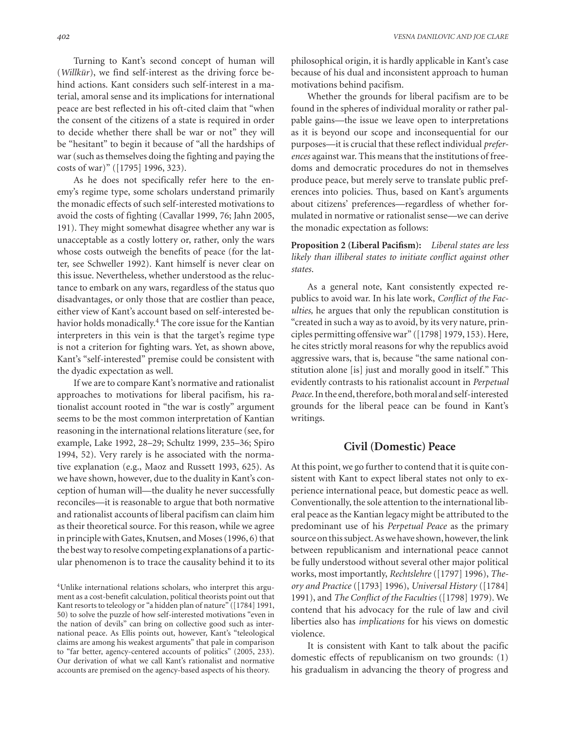Turning to Kant's second concept of human will (*Willkür*), we find self-interest as the driving force behind actions. Kant considers such self-interest in a material, amoral sense and its implications for international peace are best reflected in his oft-cited claim that "when the consent of the citizens of a state is required in order to decide whether there shall be war or not" they will be "hesitant" to begin it because of "all the hardships of war (such as themselves doing the fighting and paying the costs of war)" ([1795] 1996, 323).

As he does not specifically refer here to the enemy's regime type, some scholars understand primarily the monadic effects of such self-interested motivations to avoid the costs of fighting (Cavallar 1999, 76; Jahn 2005, 191). They might somewhat disagree whether any war is unacceptable as a costly lottery or, rather, only the wars whose costs outweigh the benefits of peace (for the latter, see Schweller 1992). Kant himself is never clear on this issue. Nevertheless, whether understood as the reluctance to embark on any wars, regardless of the status quo disadvantages, or only those that are costlier than peace, either view of Kant's account based on self-interested behavior holds monadically.<sup>4</sup> The core issue for the Kantian interpreters in this vein is that the target's regime type is not a criterion for fighting wars. Yet, as shown above, Kant's "self-interested" premise could be consistent with the dyadic expectation as well.

If we are to compare Kant's normative and rationalist approaches to motivations for liberal pacifism, his rationalist account rooted in "the war is costly" argument seems to be the most common interpretation of Kantian reasoning in the international relations literature (see, for example, Lake 1992, 28–29; Schultz 1999, 235–36; Spiro 1994, 52). Very rarely is he associated with the normative explanation (e.g., Maoz and Russett 1993, 625). As we have shown, however, due to the duality in Kant's conception of human will—the duality he never successfully reconciles—it is reasonable to argue that both normative and rationalist accounts of liberal pacifism can claim him as their theoretical source. For this reason, while we agree in principle with Gates, Knutsen, and Moses (1996, 6) that the best way to resolve competing explanations of a particular phenomenon is to trace the causality behind it to its

philosophical origin, it is hardly applicable in Kant's case because of his dual and inconsistent approach to human motivations behind pacifism.

Whether the grounds for liberal pacifism are to be found in the spheres of individual morality or rather palpable gains—the issue we leave open to interpretations as it is beyond our scope and inconsequential for our purposes—it is crucial that these reflect individual *preferences* against war. This means that the institutions of freedoms and democratic procedures do not in themselves produce peace, but merely serve to translate public preferences into policies. Thus, based on Kant's arguments about citizens' preferences—regardless of whether formulated in normative or rationalist sense—we can derive the monadic expectation as follows:

**Proposition 2 (Liberal Pacifism):** *Liberal states are less likely than illiberal states to initiate conflict against other states*.

As a general note, Kant consistently expected republics to avoid war. In his late work, *Conflict of the Faculties,* he argues that only the republican constitution is "created in such a way as to avoid, by its very nature, principles permitting offensive war" ([1798] 1979, 153). Here, he cites strictly moral reasons for why the republics avoid aggressive wars, that is, because "the same national constitution alone [is] just and morally good in itself." This evidently contrasts to his rationalist account in *Perpetual* Peace. In the end, therefore, both moral and self-interested grounds for the liberal peace can be found in Kant's writings.

## **Civil (Domestic) Peace**

At this point, we go further to contend that it is quite consistent with Kant to expect liberal states not only to experience international peace, but domestic peace as well. Conventionally, the sole attention to the international liberal peace as the Kantian legacy might be attributed to the predominant use of his *Perpetual Peace* as the primary source on this subject.Aswe have shown, however, the link between republicanism and international peace cannot be fully understood without several other major political works, most importantly, *Rechtslehre* ([1797] 1996), *Theory and Practice* ([1793] 1996), *Universal History* ([1784] 1991), and *The Conflict of the Faculties* ([1798] 1979). We contend that his advocacy for the rule of law and civil liberties also has *implications* for his views on domestic violence.

It is consistent with Kant to talk about the pacific domestic effects of republicanism on two grounds: (1) his gradualism in advancing the theory of progress and

<sup>4</sup>Unlike international relations scholars, who interpret this argument as a cost-benefit calculation, political theorists point out that Kant resorts to teleology or "a hidden plan of nature" ([1784] 1991, 50) to solve the puzzle of how self-interested motivations "even in the nation of devils" can bring on collective good such as international peace. As Ellis points out, however, Kant's "teleological claims are among his weakest arguments" that pale in comparison to "far better, agency-centered accounts of politics" (2005, 233). Our derivation of what we call Kant's rationalist and normative accounts are premised on the agency-based aspects of his theory.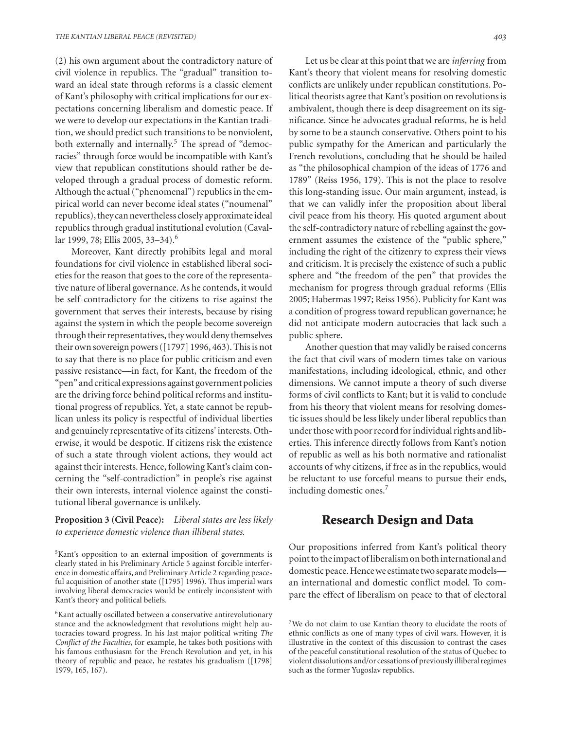(2) his own argument about the contradictory nature of civil violence in republics. The "gradual" transition toward an ideal state through reforms is a classic element of Kant's philosophy with critical implications for our expectations concerning liberalism and domestic peace. If we were to develop our expectations in the Kantian tradition, we should predict such transitions to be nonviolent, both externally and internally.<sup>5</sup> The spread of "democracies" through force would be incompatible with Kant's view that republican constitutions should rather be developed through a gradual process of domestic reform. Although the actual ("phenomenal") republics in the empirical world can never become ideal states ("noumenal" republics), they can nevertheless closely approximate ideal republics through gradual institutional evolution (Cavallar 1999, 78; Ellis 2005, 33–34).<sup>6</sup>

Moreover, Kant directly prohibits legal and moral foundations for civil violence in established liberal societies for the reason that goes to the core of the representative nature of liberal governance. As he contends, it would be self-contradictory for the citizens to rise against the government that serves their interests, because by rising against the system in which the people become sovereign through their representatives, they would deny themselves their own sovereign powers ([1797] 1996, 463). This is not to say that there is no place for public criticism and even passive resistance—in fact, for Kant, the freedom of the "pen" and critical expressions against government policies are the driving force behind political reforms and institutional progress of republics. Yet, a state cannot be republican unless its policy is respectful of individual liberties and genuinely representative of its citizens' interests. Otherwise, it would be despotic. If citizens risk the existence of such a state through violent actions, they would act against their interests. Hence, following Kant's claim concerning the "self-contradiction" in people's rise against their own interests, internal violence against the constitutional liberal governance is unlikely.

**Proposition 3 (Civil Peace):** *Liberal states are less likely to experience domestic violence than illiberal states.*

Let us be clear at this point that we are *inferring* from Kant's theory that violent means for resolving domestic conflicts are unlikely under republican constitutions. Political theorists agree that Kant's position on revolutions is ambivalent, though there is deep disagreement on its significance. Since he advocates gradual reforms, he is held by some to be a staunch conservative. Others point to his public sympathy for the American and particularly the French revolutions, concluding that he should be hailed as "the philosophical champion of the ideas of 1776 and 1789" (Reiss 1956, 179). This is not the place to resolve this long-standing issue. Our main argument, instead, is that we can validly infer the proposition about liberal civil peace from his theory. His quoted argument about the self-contradictory nature of rebelling against the government assumes the existence of the "public sphere," including the right of the citizenry to express their views and criticism. It is precisely the existence of such a public sphere and "the freedom of the pen" that provides the mechanism for progress through gradual reforms (Ellis 2005; Habermas 1997; Reiss 1956). Publicity for Kant was a condition of progress toward republican governance; he did not anticipate modern autocracies that lack such a public sphere.

Another question that may validly be raised concerns the fact that civil wars of modern times take on various manifestations, including ideological, ethnic, and other dimensions. We cannot impute a theory of such diverse forms of civil conflicts to Kant; but it is valid to conclude from his theory that violent means for resolving domestic issues should be less likely under liberal republics than under those with poor record for individual rights and liberties. This inference directly follows from Kant's notion of republic as well as his both normative and rationalist accounts of why citizens, if free as in the republics, would be reluctant to use forceful means to pursue their ends, including domestic ones.7

## **Research Design and Data**

Our propositions inferred from Kant's political theory point to the impact of liberalism on both international and domestic peace. Hence we estimate two separate models an international and domestic conflict model. To compare the effect of liberalism on peace to that of electoral

<sup>&</sup>lt;sup>5</sup>Kant's opposition to an external imposition of governments is clearly stated in his Preliminary Article 5 against forcible interference in domestic affairs, and Preliminary Article 2 regarding peaceful acquisition of another state ([1795] 1996). Thus imperial wars involving liberal democracies would be entirely inconsistent with Kant's theory and political beliefs.

<sup>&</sup>lt;sup>6</sup>Kant actually oscillated between a conservative antirevolutionary stance and the acknowledgment that revolutions might help autocracies toward progress. In his last major political writing *The Conflict of the Faculties,* for example, he takes both positions with his famous enthusiasm for the French Revolution and yet, in his theory of republic and peace, he restates his gradualism ([1798] 1979, 165, 167).

<sup>&</sup>lt;sup>7</sup>We do not claim to use Kantian theory to elucidate the roots of ethnic conflicts as one of many types of civil wars. However, it is illustrative in the context of this discussion to contrast the cases of the peaceful constitutional resolution of the status of Quebec to violent dissolutions and/or cessations of previously illiberal regimes such as the former Yugoslav republics.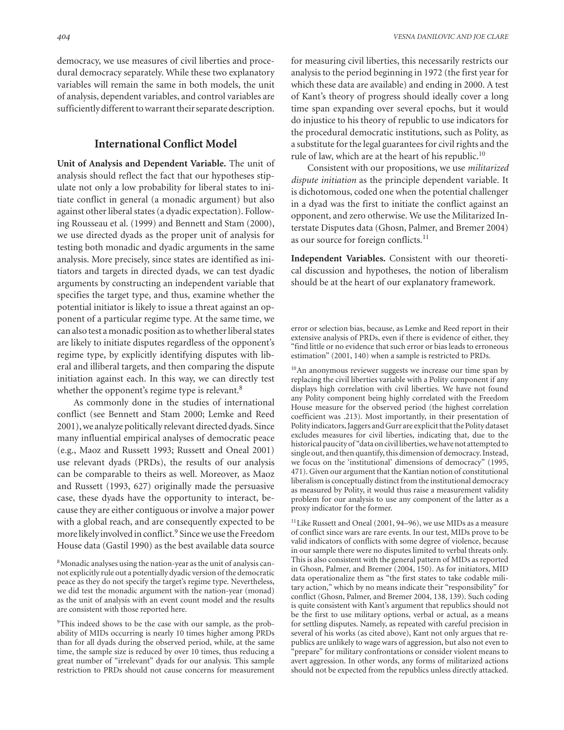democracy, we use measures of civil liberties and procedural democracy separately. While these two explanatory variables will remain the same in both models, the unit of analysis, dependent variables, and control variables are sufficiently different towarrant their separate description.

## **International Conflict Model**

**Unit of Analysis and Dependent Variable.** The unit of analysis should reflect the fact that our hypotheses stipulate not only a low probability for liberal states to initiate conflict in general (a monadic argument) but also against other liberal states (a dyadic expectation). Following Rousseau et al. (1999) and Bennett and Stam (2000), we use directed dyads as the proper unit of analysis for testing both monadic and dyadic arguments in the same analysis. More precisely, since states are identified as initiators and targets in directed dyads, we can test dyadic arguments by constructing an independent variable that specifies the target type, and thus, examine whether the potential initiator is likely to issue a threat against an opponent of a particular regime type. At the same time, we can also test a monadic position as to whether liberal states are likely to initiate disputes regardless of the opponent's regime type, by explicitly identifying disputes with liberal and illiberal targets, and then comparing the dispute initiation against each. In this way, we can directly test whether the opponent's regime type is relevant.<sup>8</sup>

As commonly done in the studies of international conflict (see Bennett and Stam 2000; Lemke and Reed 2001), we analyze politically relevant directed dyads. Since many influential empirical analyses of democratic peace (e.g., Maoz and Russett 1993; Russett and Oneal 2001) use relevant dyads (PRDs), the results of our analysis can be comparable to theirs as well. Moreover, as Maoz and Russett (1993, 627) originally made the persuasive case, these dyads have the opportunity to interact, because they are either contiguous or involve a major power with a global reach, and are consequently expected to be more likely involved in conflict.<sup>9</sup> Since we use the Freedom House data (Gastil 1990) as the best available data source

8Monadic analyses using the nation-year as the unit of analysis cannot explicitly rule out a potentially dyadic version of the democratic peace as they do not specify the target's regime type. Nevertheless, we did test the monadic argument with the nation-year (monad) as the unit of analysis with an event count model and the results are consistent with those reported here.

<sup>9</sup>This indeed shows to be the case with our sample, as the probability of MIDs occurring is nearly 10 times higher among PRDs than for all dyads during the observed period, while, at the same time, the sample size is reduced by over 10 times, thus reducing a great number of "irrelevant" dyads for our analysis. This sample restriction to PRDs should not cause concerns for measurement

for measuring civil liberties, this necessarily restricts our analysis to the period beginning in 1972 (the first year for which these data are available) and ending in 2000. A test of Kant's theory of progress should ideally cover a long time span expanding over several epochs, but it would do injustice to his theory of republic to use indicators for the procedural democratic institutions, such as Polity, as a substitute for the legal guarantees for civil rights and the rule of law, which are at the heart of his republic.<sup>10</sup>

Consistent with our propositions, we use *militarized dispute initiation* as the principle dependent variable. It is dichotomous, coded one when the potential challenger in a dyad was the first to initiate the conflict against an opponent, and zero otherwise. We use the Militarized Interstate Disputes data (Ghosn, Palmer, and Bremer 2004) as our source for foreign conflicts.<sup>11</sup>

**Independent Variables.** Consistent with our theoretical discussion and hypotheses, the notion of liberalism should be at the heart of our explanatory framework.

error or selection bias, because, as Lemke and Reed report in their extensive analysis of PRDs, even if there is evidence of either, they "find little or no evidence that such error or bias leads to erroneous estimation" (2001, 140) when a sample is restricted to PRDs.

<sup>10</sup>An anonymous reviewer suggests we increase our time span by replacing the civil liberties variable with a Polity component if any displays high correlation with civil liberties. We have not found any Polity component being highly correlated with the Freedom House measure for the observed period (the highest correlation coefficient was .213). Most importantly, in their presentation of Polity indicators, Jaggers and Gurr are explicit that the Polity dataset excludes measures for civil liberties, indicating that, due to the historical paucity of "data on civil liberties, we have not attempted to single out, and then quantify, this dimension of democracy. Instead, we focus on the 'institutional' dimensions of democracy" (1995, 471). Given our argument that the Kantian notion of constitutional liberalism is conceptually distinct from the institutional democracy as measured by Polity, it would thus raise a measurement validity problem for our analysis to use any component of the latter as a proxy indicator for the former.

<sup>11</sup> Like Russett and Oneal (2001, 94–96), we use MIDs as a measure of conflict since wars are rare events. In our test, MIDs prove to be valid indicators of conflicts with some degree of violence, because in our sample there were no disputes limited to verbal threats only. This is also consistent with the general pattern of MIDs as reported in Ghosn, Palmer, and Bremer (2004, 150). As for initiators, MID data operationalize them as "the first states to take codable military action," which by no means indicate their "responsibility" for conflict (Ghosn, Palmer, and Bremer 2004, 138, 139). Such coding is quite consistent with Kant's argument that republics should not be the first to use military options, verbal or actual, as a means for settling disputes. Namely, as repeated with careful precision in several of his works (as cited above), Kant not only argues that republics are unlikely to wage wars of aggression, but also not even to "prepare" for military confrontations or consider violent means to avert aggression. In other words, any forms of militarized actions should not be expected from the republics unless directly attacked.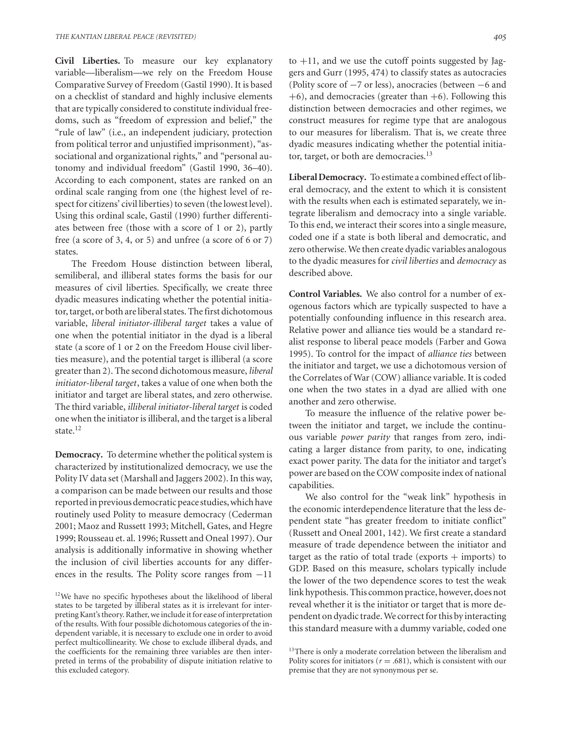**Civil Liberties.** To measure our key explanatory variable—liberalism—we rely on the Freedom House Comparative Survey of Freedom (Gastil 1990). It is based on a checklist of standard and highly inclusive elements that are typically considered to constitute individual freedoms, such as "freedom of expression and belief," the "rule of law" (i.e., an independent judiciary, protection from political terror and unjustified imprisonment), "associational and organizational rights," and "personal autonomy and individual freedom" (Gastil 1990, 36–40). According to each component, states are ranked on an ordinal scale ranging from one (the highest level of respect for citizens' civil liberties) to seven (the lowest level). Using this ordinal scale, Gastil (1990) further differentiates between free (those with a score of 1 or 2), partly free (a score of 3, 4, or 5) and unfree (a score of 6 or 7) states.

The Freedom House distinction between liberal, semiliberal, and illiberal states forms the basis for our measures of civil liberties. Specifically, we create three dyadic measures indicating whether the potential initiator, target, or both are liberal states. The first dichotomous variable, *liberal initiator-illiberal target* takes a value of one when the potential initiator in the dyad is a liberal state (a score of 1 or 2 on the Freedom House civil liberties measure), and the potential target is illiberal (a score greater than 2). The second dichotomous measure, *liberal initiator-liberal target*, takes a value of one when both the initiator and target are liberal states, and zero otherwise. The third variable, *illiberal initiator-liberal target* is coded one when the initiator is illiberal, and the target is a liberal state.<sup>12</sup>

**Democracy.** To determine whether the political system is characterized by institutionalized democracy, we use the Polity IV data set (Marshall and Jaggers 2002). In this way, a comparison can be made between our results and those reported in previous democratic peace studies, which have routinely used Polity to measure democracy (Cederman 2001; Maoz and Russett 1993; Mitchell, Gates, and Hegre 1999; Rousseau et. al. 1996; Russett and Oneal 1997). Our analysis is additionally informative in showing whether the inclusion of civil liberties accounts for any differences in the results. The Polity score ranges from −11

to  $+11$ , and we use the cutoff points suggested by Jaggers and Gurr (1995, 474) to classify states as autocracies (Polity score of −7 or less), anocracies (between −6 and  $+6$ ), and democracies (greater than  $+6$ ). Following this distinction between democracies and other regimes, we construct measures for regime type that are analogous to our measures for liberalism. That is, we create three dyadic measures indicating whether the potential initiator, target, or both are democracies.<sup>13</sup>

**LiberalDemocracy.** To estimate a combined effect of liberal democracy, and the extent to which it is consistent with the results when each is estimated separately, we integrate liberalism and democracy into a single variable. To this end, we interact their scores into a single measure, coded one if a state is both liberal and democratic, and zero otherwise. We then create dyadic variables analogous to the dyadic measures for *civil liberties* and *democracy* as described above.

**Control Variables.** We also control for a number of exogenous factors which are typically suspected to have a potentially confounding influence in this research area. Relative power and alliance ties would be a standard realist response to liberal peace models (Farber and Gowa 1995). To control for the impact of *alliance ties* between the initiator and target, we use a dichotomous version of the Correlates of War (COW) alliance variable. It is coded one when the two states in a dyad are allied with one another and zero otherwise.

To measure the influence of the relative power between the initiator and target, we include the continuous variable *power parity* that ranges from zero, indicating a larger distance from parity, to one, indicating exact power parity. The data for the initiator and target's power are based on the COW composite index of national capabilities.

We also control for the "weak link" hypothesis in the economic interdependence literature that the less dependent state "has greater freedom to initiate conflict" (Russett and Oneal 2001, 142). We first create a standard measure of trade dependence between the initiator and target as the ratio of total trade (exports  $+$  imports) to GDP. Based on this measure, scholars typically include the lower of the two dependence scores to test the weak link hypothesis. This common practice, however, does not reveal whether it is the initiator or target that is more dependent on dyadic trade. We correct for this by interacting this standard measure with a dummy variable, coded one

<sup>&</sup>lt;sup>12</sup>We have no specific hypotheses about the likelihood of liberal states to be targeted by illiberal states as it is irrelevant for interpreting Kant's theory. Rather, we include it for ease of interpretation of the results. With four possible dichotomous categories of the independent variable, it is necessary to exclude one in order to avoid perfect multicollinearity. We chose to exclude illiberal dyads, and the coefficients for the remaining three variables are then interpreted in terms of the probability of dispute initiation relative to this excluded category.

<sup>&</sup>lt;sup>13</sup>There is only a moderate correlation between the liberalism and Polity scores for initiators (*r* = .681), which is consistent with our premise that they are not synonymous per se.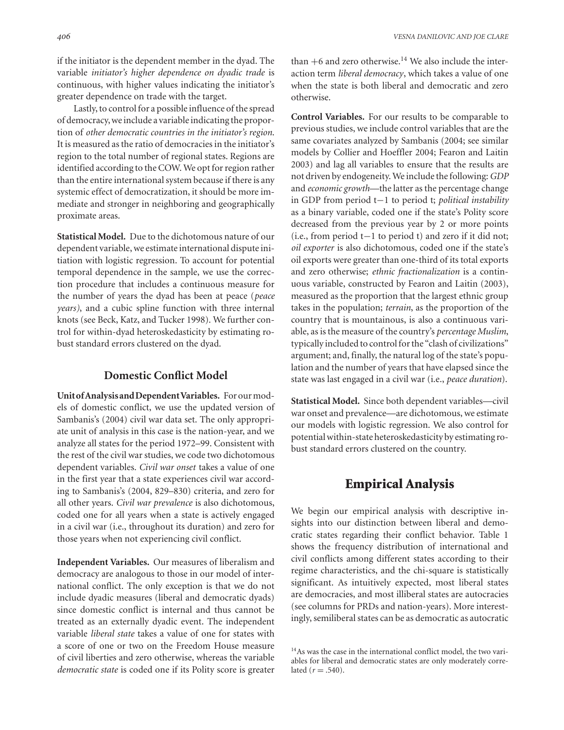if the initiator is the dependent member in the dyad. The variable *initiator's higher dependence on dyadic trade* is continuous, with higher values indicating the initiator's greater dependence on trade with the target.

Lastly, to control for a possible influence of the spread of democracy, we include a variable indicating the proportion of *other democratic countries in the initiator's region*. It is measured as the ratio of democracies in the initiator's region to the total number of regional states. Regions are identified according to the COW. We opt for region rather than the entire international system because if there is any systemic effect of democratization, it should be more immediate and stronger in neighboring and geographically proximate areas.

**Statistical Model.** Due to the dichotomous nature of our dependent variable, we estimate international dispute initiation with logistic regression. To account for potential temporal dependence in the sample, we use the correction procedure that includes a continuous measure for the number of years the dyad has been at peace (*peace years)*, and a cubic spline function with three internal knots (see Beck, Katz, and Tucker 1998). We further control for within-dyad heteroskedasticity by estimating robust standard errors clustered on the dyad.

## **Domestic Conflict Model**

**UnitofAnalysisandDependentVariables.** For ourmodels of domestic conflict, we use the updated version of Sambanis's (2004) civil war data set. The only appropriate unit of analysis in this case is the nation-year, and we analyze all states for the period 1972–99. Consistent with the rest of the civil war studies, we code two dichotomous dependent variables. *Civil war onset* takes a value of one in the first year that a state experiences civil war according to Sambanis's (2004, 829–830) criteria, and zero for all other years. *Civil war prevalence* is also dichotomous, coded one for all years when a state is actively engaged in a civil war (i.e., throughout its duration) and zero for those years when not experiencing civil conflict.

**Independent Variables.** Our measures of liberalism and democracy are analogous to those in our model of international conflict. The only exception is that we do not include dyadic measures (liberal and democratic dyads) since domestic conflict is internal and thus cannot be treated as an externally dyadic event. The independent variable *liberal state* takes a value of one for states with a score of one or two on the Freedom House measure of civil liberties and zero otherwise, whereas the variable *democratic state* is coded one if its Polity score is greater

than  $+6$  and zero otherwise.<sup>14</sup> We also include the interaction term *liberal democracy*, which takes a value of one when the state is both liberal and democratic and zero otherwise.

**Control Variables.** For our results to be comparable to previous studies, we include control variables that are the same covariates analyzed by Sambanis (2004; see similar models by Collier and Hoeffler 2004; Fearon and Laitin 2003) and lag all variables to ensure that the results are not driven by endogeneity.We include thefollowing:*GDP* and *economic growth*—the latter as the percentage change in GDP from period t−1 to period t; *political instability* as a binary variable, coded one if the state's Polity score decreased from the previous year by 2 or more points (i.e., from period t−1 to period t) and zero if it did not; *oil exporter* is also dichotomous, coded one if the state's oil exports were greater than one-third of its total exports and zero otherwise; *ethnic fractionalization* is a continuous variable, constructed by Fearon and Laitin (2003), measured as the proportion that the largest ethnic group takes in the population; *terrain*, as the proportion of the country that is mountainous, is also a continuous variable, as is the measure of the country's *percentage Muslim*, typically included to control for the "clash of civilizations" argument; and, finally, the natural log of the state's population and the number of years that have elapsed since the state was last engaged in a civil war (i.e., *peace duration*).

**Statistical Model.** Since both dependent variables—civil war onset and prevalence—are dichotomous, we estimate our models with logistic regression. We also control for potential within-state heteroskedasticity by estimating robust standard errors clustered on the country.

# **Empirical Analysis**

We begin our empirical analysis with descriptive insights into our distinction between liberal and democratic states regarding their conflict behavior. Table 1 shows the frequency distribution of international and civil conflicts among different states according to their regime characteristics, and the chi-square is statistically significant. As intuitively expected, most liberal states are democracies, and most illiberal states are autocracies (see columns for PRDs and nation-years). More interestingly, semiliberal states can be as democratic as autocratic

<sup>&</sup>lt;sup>14</sup>As was the case in the international conflict model, the two variables for liberal and democratic states are only moderately correlated ( $r = .540$ ).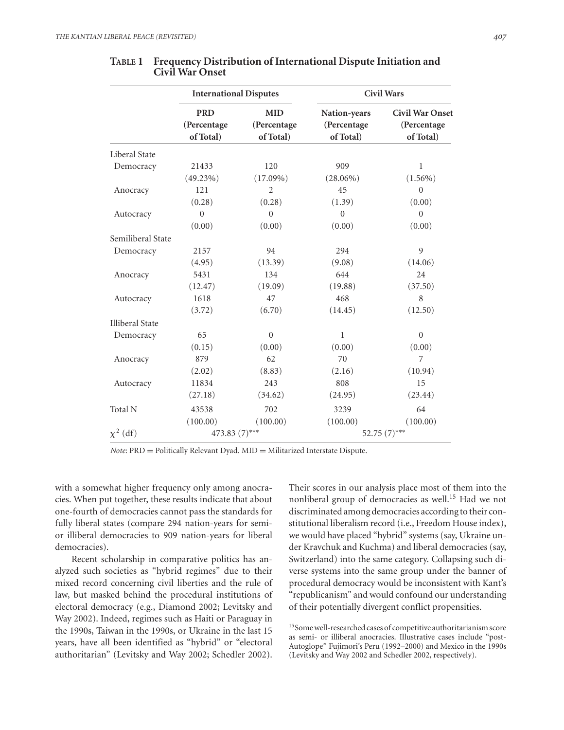|                        | <b>International Disputes</b> |                | <b>Civil Wars</b> |                        |  |  |
|------------------------|-------------------------------|----------------|-------------------|------------------------|--|--|
|                        | <b>PRD</b>                    | <b>MID</b>     | Nation-years      | <b>Civil War Onset</b> |  |  |
|                        | (Percentage                   | (Percentage    | (Percentage       | (Percentage            |  |  |
|                        | of Total)                     | of Total)      | of Total)         | of Total)              |  |  |
| Liberal State          |                               |                |                   |                        |  |  |
| Democracy              | 21433                         | 120            | 909               | 1                      |  |  |
|                        | $(49.23\%)$                   | $(17.09\%)$    | $(28.06\%)$       | $(1.56\%)$             |  |  |
| Anocracy               | 121                           | $\overline{2}$ | 45                | $\overline{0}$         |  |  |
|                        | (0.28)                        | (0.28)         | (1.39)            | (0.00)                 |  |  |
| Autocracy              | $\theta$                      | $\Omega$       | $\theta$          | $\theta$               |  |  |
|                        | (0.00)                        | (0.00)         | (0.00)            | (0.00)                 |  |  |
| Semiliberal State      |                               |                |                   |                        |  |  |
| Democracy              | 2157                          | 94             | 294               | 9                      |  |  |
|                        | (4.95)                        | (13.39)        | (9.08)            | (14.06)                |  |  |
| Anocracy               | 5431                          | 134            | 644               | 24                     |  |  |
|                        | (12.47)                       | (19.09)        | (19.88)           | (37.50)                |  |  |
| Autocracy              | 1618                          | 47             | 468               | 8                      |  |  |
|                        | (3.72)                        | (6.70)         | (14.45)           | (12.50)                |  |  |
| <b>Illiberal State</b> |                               |                |                   |                        |  |  |
| Democracy              | 65                            | $\overline{0}$ | $\mathbf{1}$      | $\theta$               |  |  |
|                        | (0.15)                        | (0.00)         | (0.00)            | (0.00)                 |  |  |
| Anocracy               | 879                           | 62             | 70                | 7                      |  |  |
|                        | (2.02)                        | (8.83)         | (2.16)            | (10.94)                |  |  |
| Autocracy              | 11834                         | 243            | 808               | 15                     |  |  |
|                        | (27.18)                       | (34.62)        | (24.95)           | (23.44)                |  |  |
| Total N                | 43538                         | 702            | 3239              | 64                     |  |  |
|                        | (100.00)                      | (100.00)       | (100.00)          | (100.00)               |  |  |
| $\chi^2$ (df)          | 473.83 (7)***                 |                |                   | 52.75 $(7)$ ***        |  |  |

**TABLE 1 Frequency Distribution of International Dispute Initiation and Civil War Onset**

*Note*: PRD = Politically Relevant Dyad. MID = Militarized Interstate Dispute.

with a somewhat higher frequency only among anocracies. When put together, these results indicate that about one-fourth of democracies cannot pass the standards for fully liberal states (compare 294 nation-years for semior illiberal democracies to 909 nation-years for liberal democracies).

Recent scholarship in comparative politics has analyzed such societies as "hybrid regimes" due to their mixed record concerning civil liberties and the rule of law, but masked behind the procedural institutions of electoral democracy (e.g., Diamond 2002; Levitsky and Way 2002). Indeed, regimes such as Haiti or Paraguay in the 1990s, Taiwan in the 1990s, or Ukraine in the last 15 years, have all been identified as "hybrid" or "electoral authoritarian" (Levitsky and Way 2002; Schedler 2002). Their scores in our analysis place most of them into the nonliberal group of democracies as well.<sup>15</sup> Had we not discriminated among democracies according to their constitutional liberalism record (i.e., Freedom House index), we would have placed "hybrid" systems (say, Ukraine under Kravchuk and Kuchma) and liberal democracies (say, Switzerland) into the same category. Collapsing such diverse systems into the same group under the banner of procedural democracy would be inconsistent with Kant's "republicanism" and would confound our understanding of their potentially divergent conflict propensities.

15Some well-researched cases of competitive authoritarianism score as semi- or illiberal anocracies. Illustrative cases include "post-Autoglope" Fujimori's Peru (1992–2000) and Mexico in the 1990s (Levitsky and Way 2002 and Schedler 2002, respectively).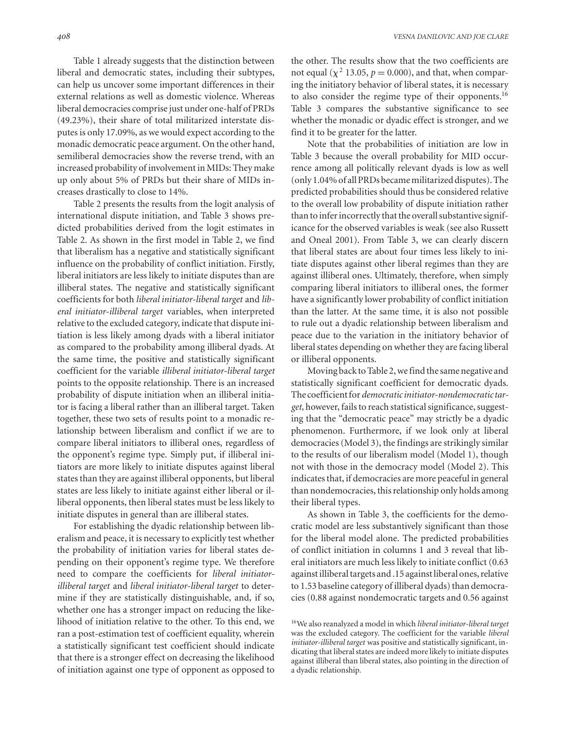Table 1 already suggests that the distinction between liberal and democratic states, including their subtypes, can help us uncover some important differences in their external relations as well as domestic violence. Whereas liberal democracies comprise just under one-half of PRDs (49.23%), their share of total militarized interstate disputes is only 17.09%, as we would expect according to the monadic democratic peace argument. On the other hand, semiliberal democracies show the reverse trend, with an increased probability of involvement in MIDs: They make up only about 5% of PRDs but their share of MIDs increases drastically to close to 14%.

Table 2 presents the results from the logit analysis of international dispute initiation, and Table 3 shows predicted probabilities derived from the logit estimates in Table 2. As shown in the first model in Table 2, we find that liberalism has a negative and statistically significant influence on the probability of conflict initiation. Firstly, liberal initiators are less likely to initiate disputes than are illiberal states. The negative and statistically significant coefficients for both *liberal initiator-liberal target* and *liberal initiator-illiberal target* variables, when interpreted relative to the excluded category, indicate that dispute initiation is less likely among dyads with a liberal initiator as compared to the probability among illiberal dyads. At the same time, the positive and statistically significant coefficient for the variable *illiberal initiator-liberal target* points to the opposite relationship. There is an increased probability of dispute initiation when an illiberal initiator is facing a liberal rather than an illiberal target. Taken together, these two sets of results point to a monadic relationship between liberalism and conflict if we are to compare liberal initiators to illiberal ones, regardless of the opponent's regime type. Simply put, if illiberal initiators are more likely to initiate disputes against liberal states than they are against illiberal opponents, but liberal states are less likely to initiate against either liberal or illiberal opponents, then liberal states must be less likely to initiate disputes in general than are illiberal states.

For establishing the dyadic relationship between liberalism and peace, it is necessary to explicitly test whether the probability of initiation varies for liberal states depending on their opponent's regime type. We therefore need to compare the coefficients for *liberal initiatorilliberal target* and *liberal initiator-liberal target* to determine if they are statistically distinguishable, and, if so, whether one has a stronger impact on reducing the likelihood of initiation relative to the other. To this end, we ran a post-estimation test of coefficient equality, wherein a statistically significant test coefficient should indicate that there is a stronger effect on decreasing the likelihood of initiation against one type of opponent as opposed to

the other. The results show that the two coefficients are not equal ( $\chi^2$  13.05,  $p = 0.000$ ), and that, when comparing the initiatory behavior of liberal states, it is necessary to also consider the regime type of their opponents.<sup>16</sup> Table 3 compares the substantive significance to see whether the monadic or dyadic effect is stronger, and we find it to be greater for the latter.

Note that the probabilities of initiation are low in Table 3 because the overall probability for MID occurrence among all politically relevant dyads is low as well (only 1.04% of all PRDs becamemilitarized disputes). The predicted probabilities should thus be considered relative to the overall low probability of dispute initiation rather than to infer incorrectly that the overall substantive significance for the observed variables is weak (see also Russett and Oneal 2001). From Table 3, we can clearly discern that liberal states are about four times less likely to initiate disputes against other liberal regimes than they are against illiberal ones. Ultimately, therefore, when simply comparing liberal initiators to illiberal ones, the former have a significantly lower probability of conflict initiation than the latter. At the same time, it is also not possible to rule out a dyadic relationship between liberalism and peace due to the variation in the initiatory behavior of liberal states depending on whether they are facing liberal or illiberal opponents.

Moving back to Table 2, wefind the same negative and statistically significant coefficient for democratic dyads. The coefficient for *democratic initiator-nondemocratic target,* however, fails to reach statistical significance, suggesting that the "democratic peace" may strictly be a dyadic phenomenon. Furthermore, if we look only at liberal democracies (Model 3), the findings are strikingly similar to the results of our liberalism model (Model 1), though not with those in the democracy model (Model 2). This indicates that, if democracies are more peaceful in general than nondemocracies, this relationship only holds among their liberal types.

As shown in Table 3, the coefficients for the democratic model are less substantively significant than those for the liberal model alone. The predicted probabilities of conflict initiation in columns 1 and 3 reveal that liberal initiators are much less likely to initiate conflict (0.63 against illiberal targets and .15 against liberal ones, relative to 1.53 baseline category of illiberal dyads) than democracies (0.88 against nondemocratic targets and 0.56 against

<sup>16</sup>We also reanalyzed a model in which *liberal initiator-liberal target* was the excluded category. The coefficient for the variable *liberal initiator-illiberal target* was positive and statistically significant, indicating that liberal states are indeed more likely to initiate disputes against illiberal than liberal states, also pointing in the direction of a dyadic relationship.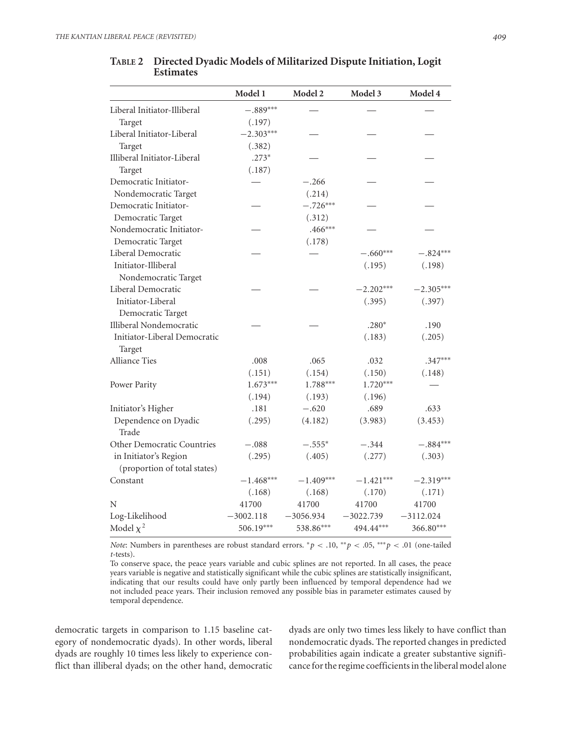|                                                       | Model 1     | Model 2     | Model 3     | Model 4     |
|-------------------------------------------------------|-------------|-------------|-------------|-------------|
| Liberal Initiator-Illiberal                           | $-.889***$  |             |             |             |
| Target                                                | (.197)      |             |             |             |
| Liberal Initiator-Liberal                             | $-2.303***$ |             |             |             |
| Target                                                | (.382)      |             |             |             |
| Illiberal Initiator-Liberal                           | $.273*$     |             |             |             |
| Target                                                | (.187)      |             |             |             |
| Democratic Initiator-                                 |             | $-.266$     |             |             |
| Nondemocratic Target                                  |             | (.214)      |             |             |
| Democratic Initiator-                                 |             | $-.726***$  |             |             |
| Democratic Target                                     |             | (.312)      |             |             |
| Nondemocratic Initiator-                              |             | $.466***$   |             |             |
| Democratic Target                                     |             | (.178)      |             |             |
| Liberal Democratic                                    |             |             | $-.660***$  | $-.824***$  |
| Initiator-Illiberal                                   |             |             | (.195)      | (.198)      |
| Nondemocratic Target                                  |             |             |             |             |
| Liberal Democratic                                    |             |             | $-2.202***$ | $-2.305***$ |
| Initiator-Liberal                                     |             |             | (.395)      | (.397)      |
| Democratic Target                                     |             |             |             |             |
| Illiberal Nondemocratic                               |             |             | $.280*$     | .190        |
| Initiator-Liberal Democratic<br>Target                |             |             | (.183)      | (.205)      |
| <b>Alliance Ties</b>                                  | .008        | .065        | .032        | $.347***$   |
|                                                       | (.151)      | (.154)      | (.150)      | (.148)      |
| Power Parity                                          | $1.673***$  | 1.788***    | $1.720***$  |             |
|                                                       | (.194)      | (.193)      | (.196)      |             |
| Initiator's Higher                                    | .181        | $-.620$     | .689        | .633        |
| Dependence on Dyadic<br>Trade                         | (.295)      | (4.182)     | (3.983)     | (3.453)     |
| Other Democratic Countries                            | $-.088$     | $-.555*$    | $-.344$     | $-.884***$  |
| in Initiator's Region<br>(proportion of total states) | (.295)      | (.405)      | (.277)      | (.303)      |
| Constant                                              | $-1.468***$ | $-1.409***$ | $-1.421***$ | $-2.319***$ |
|                                                       | (.168)      | (.168)      | (.170)      | (.171)      |
| N                                                     | 41700       | 41700       | 41700       | 41700       |
| Log-Likelihood                                        | $-3002.118$ | $-3056.934$ | $-3022.739$ | $-3112.024$ |
| Model $\chi^2$                                        | 506.19***   | 538.86***   | 494.44***   | 366.80***   |

**TABLE 2 Directed Dyadic Models of Militarized Dispute Initiation, Logit Estimates**

*Note*: Numbers in parentheses are robust standard errors. \**p* < .10, \*\**p* < .05, \*\*\**p* < .01 (one-tailed *t-*tests).

To conserve space, the peace years variable and cubic splines are not reported. In all cases, the peace years variable is negative and statistically significant while the cubic splines are statistically insignificant, indicating that our results could have only partly been influenced by temporal dependence had we not included peace years. Their inclusion removed any possible bias in parameter estimates caused by temporal dependence.

democratic targets in comparison to 1.15 baseline category of nondemocratic dyads). In other words, liberal dyads are roughly 10 times less likely to experience conflict than illiberal dyads; on the other hand, democratic dyads are only two times less likely to have conflict than nondemocratic dyads. The reported changes in predicted probabilities again indicate a greater substantive significance for the regime coefficients in the liberal model alone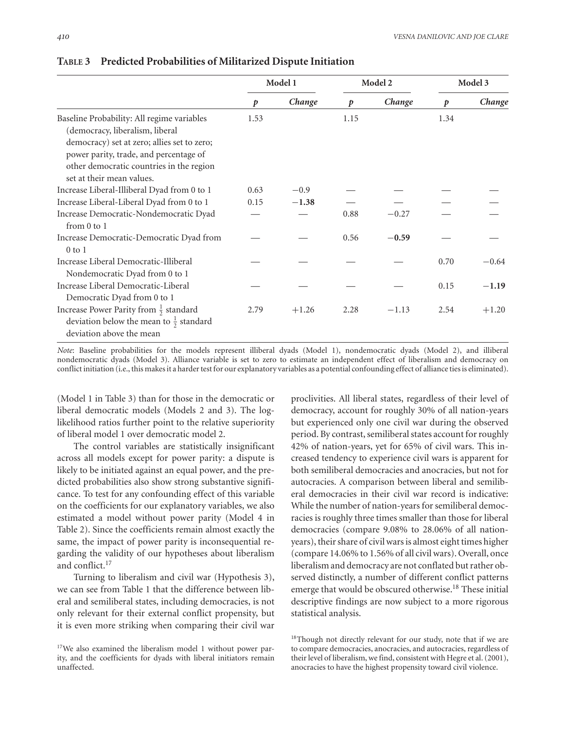|                                                                                                                                                                                                                                                 |      | Model 1 | Model 2 |         | Model 3 |         |
|-------------------------------------------------------------------------------------------------------------------------------------------------------------------------------------------------------------------------------------------------|------|---------|---------|---------|---------|---------|
|                                                                                                                                                                                                                                                 | p    | Change  | p       | Change  | p       | Change  |
| Baseline Probability: All regime variables<br>(democracy, liberalism, liberal<br>democracy) set at zero; allies set to zero;<br>power parity, trade, and percentage of<br>other democratic countries in the region<br>set at their mean values. | 1.53 |         | 1.15    |         | 1.34    |         |
| Increase Liberal-Illiberal Dyad from 0 to 1                                                                                                                                                                                                     | 0.63 | $-0.9$  |         |         |         |         |
| Increase Liberal-Liberal Dyad from 0 to 1                                                                                                                                                                                                       | 0.15 | $-1.38$ |         |         |         |         |
| Increase Democratic-Nondemocratic Dyad<br>from $0$ to $1$                                                                                                                                                                                       |      |         | 0.88    | $-0.27$ |         |         |
| Increase Democratic-Democratic Dyad from<br>$0$ to $1$                                                                                                                                                                                          |      |         | 0.56    | $-0.59$ |         |         |
| Increase Liberal Democratic-Illiberal<br>Nondemocratic Dyad from 0 to 1                                                                                                                                                                         |      |         |         |         | 0.70    | $-0.64$ |
| Increase Liberal Democratic-Liberal<br>Democratic Dyad from 0 to 1                                                                                                                                                                              |      |         |         |         | 0.15    | $-1.19$ |
| Increase Power Parity from $\frac{1}{2}$ standard<br>deviation below the mean to $\frac{1}{2}$ standard<br>deviation above the mean                                                                                                             | 2.79 | $+1.26$ | 2.28    | $-1.13$ | 2.54    | $+1.20$ |

#### **TABLE 3 Predicted Probabilities of Militarized Dispute Initiation**

*Note*: Baseline probabilities for the models represent illiberal dyads (Model 1), nondemocratic dyads (Model 2), and illiberal nondemocratic dyads (Model 3). Alliance variable is set to zero to estimate an independent effect of liberalism and democracy on conflict initiation (i.e., this makes it a harder test for our explanatory variables as a potential confounding effect of alliance ties is eliminated).

(Model 1 in Table 3) than for those in the democratic or liberal democratic models (Models 2 and 3). The loglikelihood ratios further point to the relative superiority of liberal model 1 over democratic model 2.

The control variables are statistically insignificant across all models except for power parity: a dispute is likely to be initiated against an equal power, and the predicted probabilities also show strong substantive significance. To test for any confounding effect of this variable on the coefficients for our explanatory variables, we also estimated a model without power parity (Model 4 in Table 2). Since the coefficients remain almost exactly the same, the impact of power parity is inconsequential regarding the validity of our hypotheses about liberalism and conflict.<sup>17</sup>

Turning to liberalism and civil war (Hypothesis 3), we can see from Table 1 that the difference between liberal and semiliberal states, including democracies, is not only relevant for their external conflict propensity, but it is even more striking when comparing their civil war

proclivities. All liberal states, regardless of their level of democracy, account for roughly 30% of all nation-years but experienced only one civil war during the observed period. By contrast, semiliberal states account for roughly 42% of nation-years, yet for 65% of civil wars. This increased tendency to experience civil wars is apparent for both semiliberal democracies and anocracies, but not for autocracies. A comparison between liberal and semiliberal democracies in their civil war record is indicative: While the number of nation-years for semiliberal democracies is roughly three times smaller than those for liberal democracies (compare 9.08% to 28.06% of all nationyears), their share of civil wars is almost eight times higher (compare 14.06% to 1.56% of all civil wars). Overall, once liberalism and democracy are not conflated but rather observed distinctly, a number of different conflict patterns emerge that would be obscured otherwise.<sup>18</sup> These initial descriptive findings are now subject to a more rigorous statistical analysis.

<sup>18</sup>Though not directly relevant for our study, note that if we are to compare democracies, anocracies, and autocracies, regardless of their level of liberalism, we find, consistent with Hegre et al. (2001), anocracies to have the highest propensity toward civil violence.

<sup>&</sup>lt;sup>17</sup>We also examined the liberalism model 1 without power parity, and the coefficients for dyads with liberal initiators remain unaffected.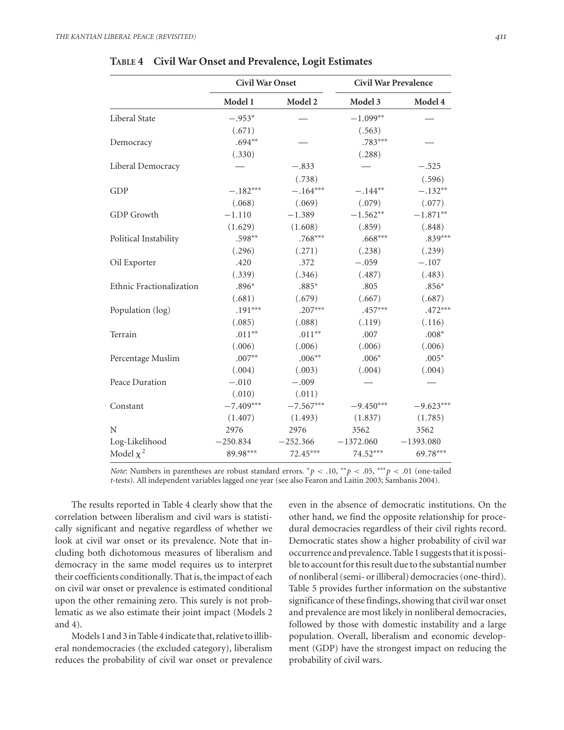|                          | <b>Civil War Onset</b> |             | <b>Civil War Prevalence</b> |             |  |
|--------------------------|------------------------|-------------|-----------------------------|-------------|--|
|                          | Model 1                | Model 2     | Model 3                     | Model 4     |  |
| Liberal State            | $-.953*$               |             | $-1.099**$                  |             |  |
|                          | (.671)                 |             | (.563)                      |             |  |
| Democracy                | $.694**$               |             | $.783***$                   |             |  |
|                          | (.330)                 |             | (.288)                      |             |  |
| Liberal Democracy        |                        | $-.833$     |                             | $-.525$     |  |
|                          |                        | (.738)      |                             | (.596)      |  |
| <b>GDP</b>               | $-.182***$             | $-.164***$  | $-.144**$                   | $-.132**$   |  |
|                          | (.068)                 | (.069)      | (.079)                      | (.077)      |  |
| GDP Growth               | $-1.110$               | $-1.389$    | $-1.562**$                  | $-1.871**$  |  |
|                          | (1.629)                | (1.608)     | (.859)                      | (.848)      |  |
| Political Instability    | $.598**$               | $.768***$   | $.668***$                   | $.839***$   |  |
|                          | (.296)                 | (.271)      | (.238)                      | (.239)      |  |
| Oil Exporter             | .420                   | .372        | $-.059$                     | $-.107$     |  |
|                          | (.339)                 | (.346)      | (.487)                      | (.483)      |  |
| Ethnic Fractionalization | $.896*$                | $.885*$     | .805                        | $.856*$     |  |
|                          | (.681)                 | (.679)      | (.667)                      | (.687)      |  |
| Population (log)         | $.191***$              | $.207***$   | $.457***$                   | $.472***$   |  |
|                          | (.085)                 | (.088)      | (.119)                      | (.116)      |  |
| Terrain                  | $.011**$               | $.011**$    | .007                        | $.008*$     |  |
|                          | (.006)                 | (.006)      | (.006)                      | (.006)      |  |
| Percentage Muslim        | $.007**$               | $.006**$    | $.006*$                     | $.005*$     |  |
|                          | (.004)                 | (.003)      | (.004)                      | (.004)      |  |
| Peace Duration           | $-.010$                | $-.009$     |                             |             |  |
|                          | (.010)                 | (.011)      |                             |             |  |
| Constant                 | $-7.409***$            | $-7.567***$ | $-9.450***$                 | $-9.623***$ |  |
|                          | (1.407)                | (1.493)     | (1.837)                     | (1.785)     |  |
| N                        | 2976                   | 2976        | 3562                        | 3562        |  |
| Log-Likelihood           | $-250.834$             | $-252.366$  | $-1372.060$                 | $-1393.080$ |  |
| Model $\chi^2$           | 89.98***               | 72.45***    | 74.52***                    | 69.78***    |  |

**TABLE 4 Civil War Onset and Prevalence, Logit Estimates**

*Note*: Numbers in parentheses are robust standard errors. <sup>∗</sup>*p* < .10, ∗∗*p* < .05, ∗∗∗*p* < .01 (one-tailed *t-*tests). All independent variables lagged one year (see also Fearon and Laitin 2003; Sambanis 2004).

The results reported in Table 4 clearly show that the correlation between liberalism and civil wars is statistically significant and negative regardless of whether we look at civil war onset or its prevalence. Note that including both dichotomous measures of liberalism and democracy in the same model requires us to interpret their coefficients conditionally. That is, the impact of each on civil war onset or prevalence is estimated conditional upon the other remaining zero. This surely is not problematic as we also estimate their joint impact (Models 2 and 4).

Models 1 and 3 in Table 4 indicate that, relative to illiberal nondemocracies (the excluded category), liberalism reduces the probability of civil war onset or prevalence even in the absence of democratic institutions. On the other hand, we find the opposite relationship for procedural democracies regardless of their civil rights record. Democratic states show a higher probability of civil war occurrence and prevalence. Table 1 suggests thatitis possible to account for this result due to the substantial number of nonliberal (semi- or illiberal) democracies (one-third). Table 5 provides further information on the substantive significance of these findings, showing that civil war onset and prevalence are most likely in nonliberal democracies, followed by those with domestic instability and a large population. Overall, liberalism and economic development (GDP) have the strongest impact on reducing the probability of civil wars.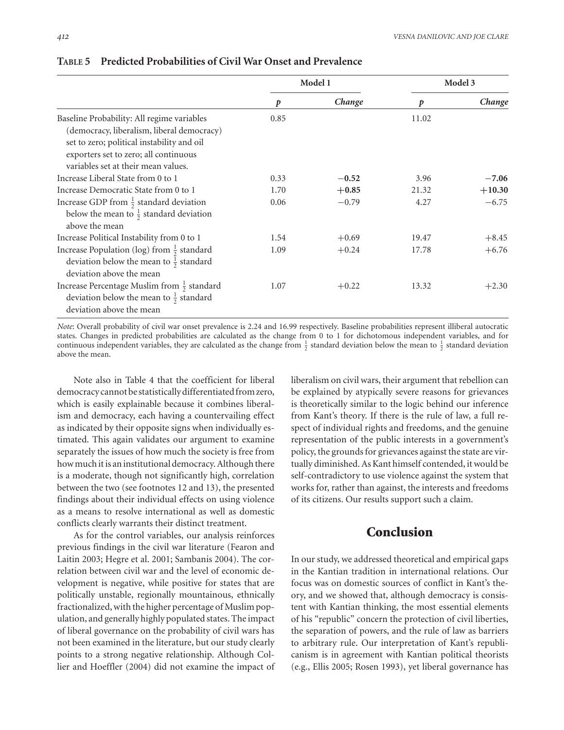|                                                                                                                                                                                                                        | Model 1 |         | Model 3 |          |
|------------------------------------------------------------------------------------------------------------------------------------------------------------------------------------------------------------------------|---------|---------|---------|----------|
|                                                                                                                                                                                                                        | p       | Change  | p       | Change   |
| Baseline Probability: All regime variables<br>(democracy, liberalism, liberal democracy)<br>set to zero; political instability and oil<br>exporters set to zero; all continuous<br>variables set at their mean values. | 0.85    |         | 11.02   |          |
| Increase Liberal State from 0 to 1                                                                                                                                                                                     | 0.33    | $-0.52$ | 3.96    | $-7.06$  |
| Increase Democratic State from 0 to 1                                                                                                                                                                                  | 1.70    | $+0.85$ | 21.32   | $+10.30$ |
| Increase GDP from $\frac{1}{2}$ standard deviation<br>below the mean to $\frac{1}{2}$ standard deviation<br>above the mean                                                                                             | 0.06    | $-0.79$ | 4.27    | $-6.75$  |
| Increase Political Instability from 0 to 1                                                                                                                                                                             | 1.54    | $+0.69$ | 19.47   | $+8.45$  |
| Increase Population (log) from $\frac{1}{2}$ standard<br>deviation below the mean to $\frac{1}{2}$ standard<br>deviation above the mean                                                                                | 1.09    | $+0.24$ | 17.78   | $+6.76$  |
| Increase Percentage Muslim from $\frac{1}{2}$ standard<br>deviation below the mean to $\frac{1}{2}$ standard<br>deviation above the mean                                                                               | 1.07    | $+0.22$ | 13.32   | $+2.30$  |

## **TABLE 5 Predicted Probabilities of Civil War Onset and Prevalence**

*Note*: Overall probability of civil war onset prevalence is 2.24 and 16.99 respectively. Baseline probabilities represent illiberal autocratic states. Changes in predicted probabilities are calculated as the change from 0 to 1 for dichotomous independent variables, and for continuous independent variables, they are calculated as the change from  $\frac{1}{2}$  standard deviation below the mean to  $\frac{1}{2}$  standard deviation above the mean.

Note also in Table 4 that the coefficient for liberal democracy cannot be statistically differentiated from zero, which is easily explainable because it combines liberalism and democracy, each having a countervailing effect as indicated by their opposite signs when individually estimated. This again validates our argument to examine separately the issues of how much the society is free from howmuch it is an institutional democracy. Although there is a moderate, though not significantly high, correlation between the two (see footnotes 12 and 13), the presented findings about their individual effects on using violence as a means to resolve international as well as domestic conflicts clearly warrants their distinct treatment.

As for the control variables, our analysis reinforces previous findings in the civil war literature (Fearon and Laitin 2003; Hegre et al. 2001; Sambanis 2004). The correlation between civil war and the level of economic development is negative, while positive for states that are politically unstable, regionally mountainous, ethnically fractionalized, with the higher percentage of Muslim population, and generally highly populated states. The impact of liberal governance on the probability of civil wars has not been examined in the literature, but our study clearly points to a strong negative relationship. Although Collier and Hoeffler (2004) did not examine the impact of liberalism on civil wars, their argument that rebellion can be explained by atypically severe reasons for grievances is theoretically similar to the logic behind our inference from Kant's theory. If there is the rule of law, a full respect of individual rights and freedoms, and the genuine representation of the public interests in a government's policy, the grounds for grievances against the state are virtually diminished. As Kant himself contended, it would be self-contradictory to use violence against the system that works for, rather than against, the interests and freedoms of its citizens. Our results support such a claim.

# **Conclusion**

In our study, we addressed theoretical and empirical gaps in the Kantian tradition in international relations. Our focus was on domestic sources of conflict in Kant's theory, and we showed that, although democracy is consistent with Kantian thinking, the most essential elements of his "republic" concern the protection of civil liberties, the separation of powers, and the rule of law as barriers to arbitrary rule. Our interpretation of Kant's republicanism is in agreement with Kantian political theorists (e.g., Ellis 2005; Rosen 1993), yet liberal governance has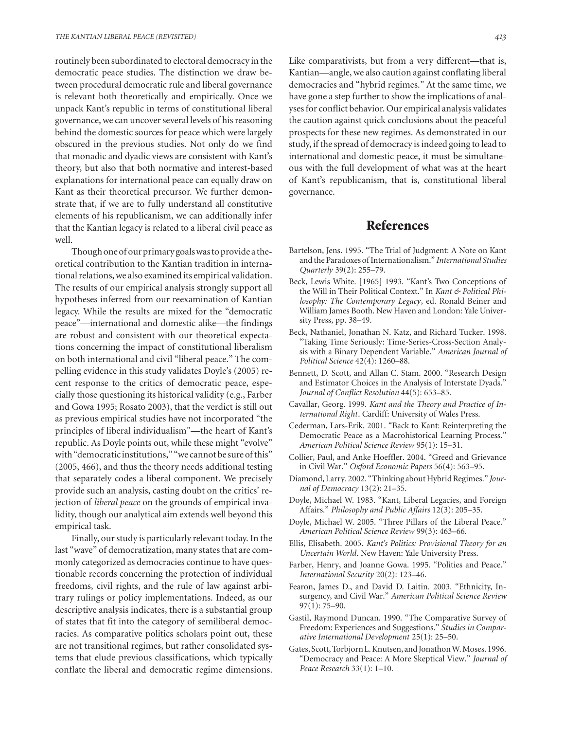routinely been subordinated to electoral democracy in the democratic peace studies. The distinction we draw between procedural democratic rule and liberal governance is relevant both theoretically and empirically. Once we unpack Kant's republic in terms of constitutional liberal governance, we can uncover several levels of his reasoning behind the domestic sources for peace which were largely obscured in the previous studies. Not only do we find that monadic and dyadic views are consistent with Kant's theory, but also that both normative and interest-based explanations for international peace can equally draw on Kant as their theoretical precursor. We further demonstrate that, if we are to fully understand all constitutive elements of his republicanism, we can additionally infer that the Kantian legacy is related to a liberal civil peace as well.

Though one of our primary goalswas to provide a theoretical contribution to the Kantian tradition in international relations, we also examined its empirical validation. The results of our empirical analysis strongly support all hypotheses inferred from our reexamination of Kantian legacy. While the results are mixed for the "democratic peace"—international and domestic alike—the findings are robust and consistent with our theoretical expectations concerning the impact of constitutional liberalism on both international and civil "liberal peace." The compelling evidence in this study validates Doyle's (2005) recent response to the critics of democratic peace, especially those questioning its historical validity (e.g., Farber and Gowa 1995; Rosato 2003), that the verdict is still out as previous empirical studies have not incorporated "the principles of liberal individualism"—the heart of Kant's republic. As Doyle points out, while these might "evolve" with "democratic institutions," "we cannot be sure of this" (2005, 466), and thus the theory needs additional testing that separately codes a liberal component. We precisely provide such an analysis, casting doubt on the critics' rejection of *liberal peace* on the grounds of empirical invalidity, though our analytical aim extends well beyond this empirical task.

Finally, our study is particularly relevant today. In the last "wave" of democratization, many states that are commonly categorized as democracies continue to have questionable records concerning the protection of individual freedoms, civil rights, and the rule of law against arbitrary rulings or policy implementations. Indeed, as our descriptive analysis indicates, there is a substantial group of states that fit into the category of semiliberal democracies. As comparative politics scholars point out, these are not transitional regimes, but rather consolidated systems that elude previous classifications, which typically conflate the liberal and democratic regime dimensions.

Like comparativists, but from a very different—that is, Kantian—angle, we also caution against conflating liberal democracies and "hybrid regimes." At the same time, we have gone a step further to show the implications of analyses for conflict behavior. Our empirical analysis validates the caution against quick conclusions about the peaceful prospects for these new regimes. As demonstrated in our study, if the spread of democracy is indeed going to lead to international and domestic peace, it must be simultaneous with the full development of what was at the heart of Kant's republicanism, that is, constitutional liberal governance.

# **References**

- Bartelson, Jens. 1995. "The Trial of Judgment: A Note on Kant and the Paradoxes of Internationalism." *International Studies Quarterly* 39(2): 255–79.
- Beck, Lewis White. [1965] 1993. "Kant's Two Conceptions of the Will in Their Political Context." In *Kant & Political Philosophy: The Contemporary Legacy*, ed. Ronald Beiner and William James Booth. New Haven and London: Yale University Press, pp. 38–49.
- Beck, Nathaniel, Jonathan N. Katz, and Richard Tucker. 1998. "Taking Time Seriously: Time-Series-Cross-Section Analysis with a Binary Dependent Variable." *American Journal of Political Science* 42(4): 1260–88.
- Bennett, D. Scott, and Allan C. Stam. 2000. "Research Design and Estimator Choices in the Analysis of Interstate Dyads." *Journal of Conflict Resolution* 44(5): 653–85.
- Cavallar, Georg. 1999. *Kant and the Theory and Practice of International Right*. Cardiff: University of Wales Press.
- Cederman, Lars-Erik. 2001. "Back to Kant: Reinterpreting the Democratic Peace as a Macrohistorical Learning Process." *American Political Science Review* 95(1): 15–31.
- Collier, Paul, and Anke Hoeffler. 2004. "Greed and Grievance in Civil War." *Oxford Economic Papers* 56(4): 563–95.
- Diamond, Larry. 2002. "Thinking about Hybrid Regimes." *Journal of Democracy* 13(2): 21–35.
- Doyle, Michael W. 1983. "Kant, Liberal Legacies, and Foreign Affairs." *Philosophy and Public Affairs* 12(3): 205–35.
- Doyle, Michael W. 2005. "Three Pillars of the Liberal Peace." *American Political Science Review* 99(3): 463–66.
- Ellis, Elisabeth. 2005. *Kant's Politics: Provisional Theory for an Uncertain World*. New Haven: Yale University Press.
- Farber, Henry, and Joanne Gowa. 1995. "Polities and Peace." *International Security* 20(2): 123–46.
- Fearon, James D., and David D. Laitin. 2003. "Ethnicity, Insurgency, and Civil War." *American Political Science Review* 97(1): 75–90.
- Gastil, Raymond Duncan. 1990. "The Comparative Survey of Freedom: Experiences and Suggestions." *Studies in Comparative International Development* 25(1): 25–50.
- Gates, Scott, Torbjorn L. Knutsen, and Jonathon W. Moses. 1996. "Democracy and Peace: A More Skeptical View." *Journal of Peace Research* 33(1): 1–10.